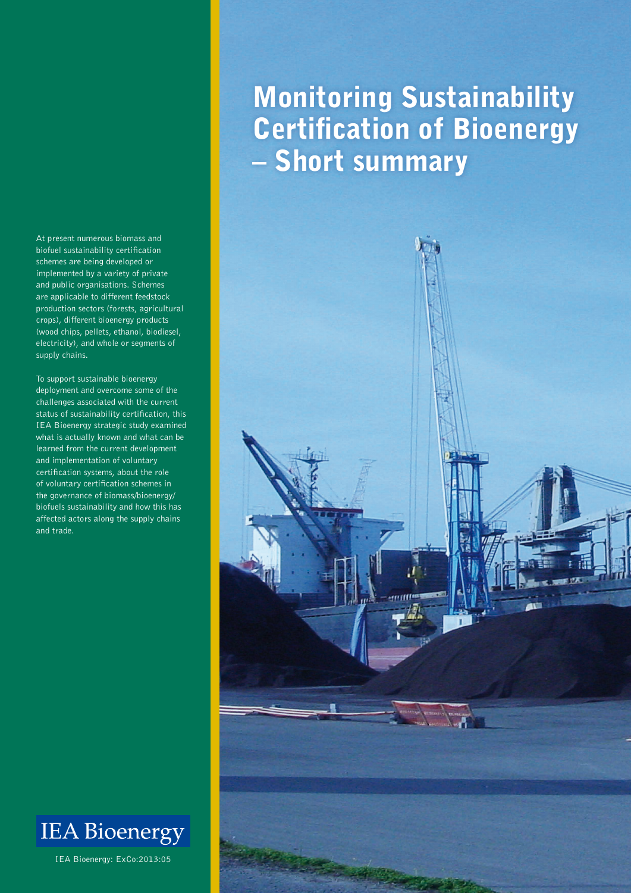At present numerous biomass and biofuel sustainability certification schemes are being developed or implemented by a variety of private and public organisations. Schemes are applicable to different feedstock production sectors (forests, agricultural crops), different bioenergy products (wood chips, pellets, ethanol, biodiesel, electricity), and whole or segments of supply chains.

To support sustainable bioenergy deployment and overcome some of the challenges associated with the current status of sustainability certification, this IEA Bioenergy strategic study examined what is actually known and what can be learned from the current development and implementation of voluntary certification systems, about the role of voluntary certification schemes in the governance of biomass/bioenergy/ biofuels sustainability and how this has affected actors along the supply chains and trade.



IEA Bioenergy: ExCo:2013:05

# Monitoring Sustainability Certification of Bioenergy – Short summary

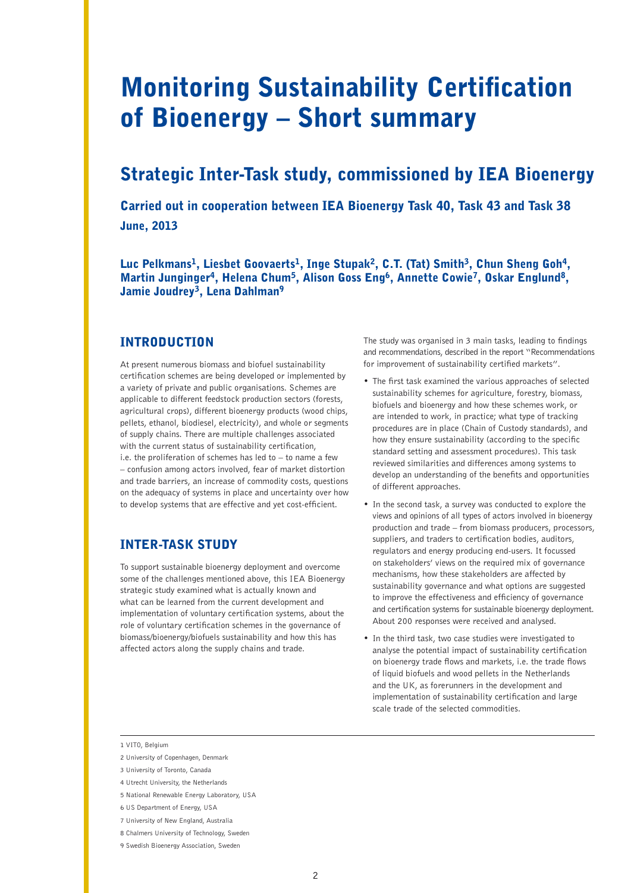## Monitoring Sustainability Certification of Bioenergy – Short summary

### Strategic Inter-Task study, commissioned by IEA Bioenergy

Carried out in cooperation between IEA Bioenergy Task 40, Task 43 and Task 38 June, 2013

Luc Pelkmans<sup>1</sup>, Liesbet Goovaerts<sup>1</sup>, Inge Stupak<sup>2</sup>, C.T. (Tat) Smith<sup>3</sup>, Chun Sheng Goh<sup>4</sup>, Martin Junginger<sup>4</sup>, Helena Chum<sup>5</sup>, Alison Goss Eng<sup>6</sup>, Annette Cowie<sup>7</sup>, Oskar Englund<sup>8</sup>, Jamie Joudrey<sup>3</sup>, Lena Dahlman<sup>9</sup>

#### INTRODUCTION

At present numerous biomass and biofuel sustainability certification schemes are being developed or implemented by a variety of private and public organisations. Schemes are applicable to different feedstock production sectors (forests, agricultural crops), different bioenergy products (wood chips, pellets, ethanol, biodiesel, electricity), and whole or segments of supply chains. There are multiple challenges associated with the current status of sustainability certification, i.e. the proliferation of schemes has led to  $-$  to name a few – confusion among actors involved, fear of market distortion and trade barriers, an increase of commodity costs, questions on the adequacy of systems in place and uncertainty over how to develop systems that are effective and yet cost-efficient.

#### INTER-TASK STUDY

To support sustainable bioenergy deployment and overcome some of the challenges mentioned above, this IEA Bioenergy strategic study examined what is actually known and what can be learned from the current development and implementation of voluntary certification systems, about the role of voluntary certification schemes in the governance of biomass/bioenergy/biofuels sustainability and how this has affected actors along the supply chains and trade.

The study was organised in 3 main tasks, leading to findings and recommendations, described in the report "Recommendations for improvement of sustainability certified markets".

- The first task examined the various approaches of selected sustainability schemes for agriculture, forestry, biomass, biofuels and bioenergy and how these schemes work, or are intended to work, in practice; what type of tracking procedures are in place (Chain of Custody standards), and how they ensure sustainability (according to the specific standard setting and assessment procedures). This task reviewed similarities and differences among systems to develop an understanding of the benefits and opportunities of different approaches.
- In the second task, a survey was conducted to explore the views and opinions of all types of actors involved in bioenergy production and trade – from biomass producers, processors, suppliers, and traders to certification bodies, auditors, regulators and energy producing end-users. It focussed on stakeholders' views on the required mix of governance mechanisms, how these stakeholders are affected by sustainability governance and what options are suggested to improve the effectiveness and efficiency of governance and certification systems for sustainable bioenergy deployment. About 200 responses were received and analysed.
- In the third task, two case studies were investigated to analyse the potential impact of sustainability certification on bioenergy trade flows and markets, i.e. the trade flows of liquid biofuels and wood pellets in the Netherlands and the UK, as forerunners in the development and implementation of sustainability certification and large scale trade of the selected commodities.

- 6 US Department of Energy, USA
- 7 University of New England, Australia
- 8 Chalmers University of Technology, Sweden
- 9 Swedish Bioenergy Association, Sweden

<sup>1</sup> VITO, Belgium

<sup>2</sup> University of Copenhagen, Denmark

<sup>3</sup> University of Toronto, Canada

<sup>4</sup> Utrecht University, the Netherlands

<sup>5</sup> National Renewable Energy Laboratory, USA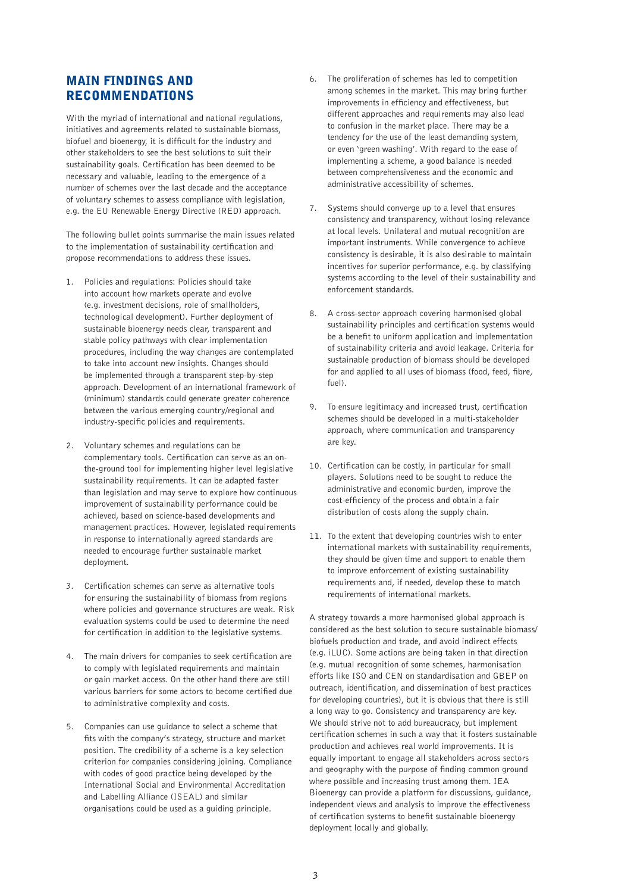#### MAIN FINDINGS AND **RECOMMENDATIONS**

With the myriad of international and national regulations, initiatives and agreements related to sustainable biomass, biofuel and bioenergy, it is difficult for the industry and other stakeholders to see the best solutions to suit their sustainability goals. Certification has been deemed to be necessary and valuable, leading to the emergence of a number of schemes over the last decade and the acceptance of voluntary schemes to assess compliance with legislation, e.g. the EU Renewable Energy Directive (RED) approach.

The following bullet points summarise the main issues related to the implementation of sustainability certification and propose recommendations to address these issues.

- 1. Policies and regulations: Policies should take into account how markets operate and evolve (e.g. investment decisions, role of smallholders, technological development). Further deployment of sustainable bioenergy needs clear, transparent and stable policy pathways with clear implementation procedures, including the way changes are contemplated to take into account new insights. Changes should be implemented through a transparent step-by-step approach. Development of an international framework of (minimum) standards could generate greater coherence between the various emerging country/regional and industry-specific policies and requirements.
- 2. Voluntary schemes and regulations can be complementary tools. Certification can serve as an onthe-ground tool for implementing higher level legislative sustainability requirements. It can be adapted faster than legislation and may serve to explore how continuous improvement of sustainability performance could be achieved, based on science-based developments and management practices. However, legislated requirements in response to internationally agreed standards are needed to encourage further sustainable market deployment.
- 3. Certification schemes can serve as alternative tools for ensuring the sustainability of biomass from regions where policies and governance structures are weak. Risk evaluation systems could be used to determine the need for certification in addition to the legislative systems.
- 4. The main drivers for companies to seek certification are to comply with legislated requirements and maintain or gain market access. On the other hand there are still various barriers for some actors to become certified due to administrative complexity and costs.
- 5. Companies can use guidance to select a scheme that fits with the company's strategy, structure and market position. The credibility of a scheme is a key selection criterion for companies considering joining. Compliance with codes of good practice being developed by the International Social and Environmental Accreditation and Labelling Alliance (ISEAL) and similar organisations could be used as a guiding principle.
- 6. The proliferation of schemes has led to competition among schemes in the market. This may bring further improvements in efficiency and effectiveness, but different approaches and requirements may also lead to confusion in the market place. There may be a tendency for the use of the least demanding system, or even 'green washing'. With regard to the ease of implementing a scheme, a good balance is needed between comprehensiveness and the economic and administrative accessibility of schemes.
- 7. Systems should converge up to a level that ensures consistency and transparency, without losing relevance at local levels. Unilateral and mutual recognition are important instruments. While convergence to achieve consistency is desirable, it is also desirable to maintain incentives for superior performance, e.g. by classifying systems according to the level of their sustainability and enforcement standards.
- 8. A cross-sector approach covering harmonised global sustainability principles and certification systems would be a benefit to uniform application and implementation of sustainability criteria and avoid leakage. Criteria for sustainable production of biomass should be developed for and applied to all uses of biomass (food, feed, fibre, fuel).
- 9. To ensure legitimacy and increased trust, certification schemes should be developed in a multi-stakeholder approach, where communication and transparency are key.
- 10. Certification can be costly, in particular for small players. Solutions need to be sought to reduce the administrative and economic burden, improve the cost-efficiency of the process and obtain a fair distribution of costs along the supply chain.
- 11. To the extent that developing countries wish to enter international markets with sustainability requirements, they should be given time and support to enable them to improve enforcement of existing sustainability requirements and, if needed, develop these to match requirements of international markets.

A strategy towards a more harmonised global approach is considered as the best solution to secure sustainable biomass/ biofuels production and trade, and avoid indirect effects (e.g. iLUC). Some actions are being taken in that direction (e.g. mutual recognition of some schemes, harmonisation efforts like ISO and CEN on standardisation and GBEP on outreach, identification, and dissemination of best practices for developing countries), but it is obvious that there is still a long way to go. Consistency and transparency are key. We should strive not to add bureaucracy, but implement certification schemes in such a way that it fosters sustainable production and achieves real world improvements. It is equally important to engage all stakeholders across sectors and geography with the purpose of finding common ground where possible and increasing trust among them. IEA Bioenergy can provide a platform for discussions, guidance, independent views and analysis to improve the effectiveness of certification systems to benefit sustainable bioenergy deployment locally and globally.